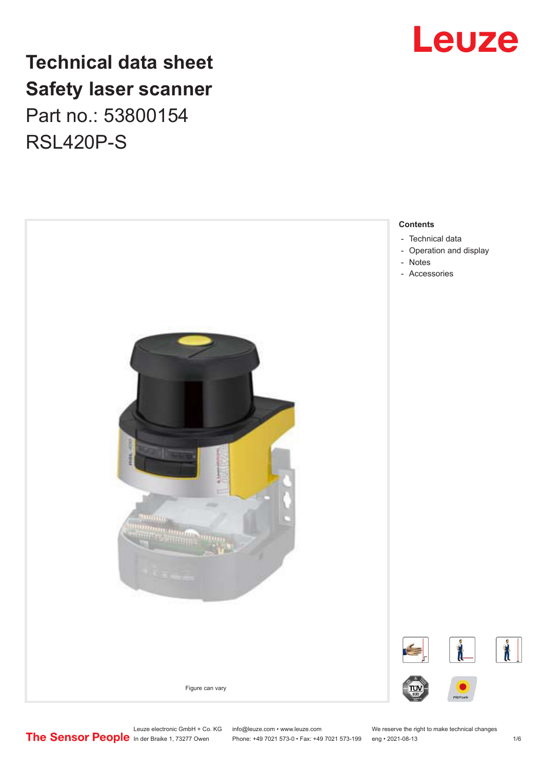

# **Technical data sheet Safety laser scanner** Part no.: 53800154 RSL420P-S



Leuze electronic GmbH + Co. KG info@leuze.com • www.leuze.com We reserve the right to make technical changes<br>
The Sensor People in der Braike 1, 73277 Owen Phone: +49 7021 573-0 • Fax: +49 7021 573-199 eng • 2021-08-13

Phone: +49 7021 573-0 • Fax: +49 7021 573-199 eng • 2021-08-13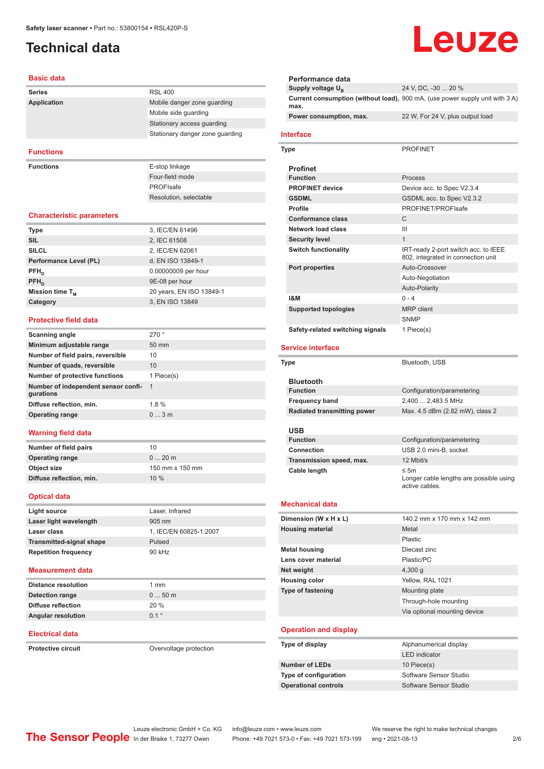# <span id="page-1-0"></span>**Technical data**

### **Basic data**

| Basic data                        |                                 |
|-----------------------------------|---------------------------------|
| <b>Series</b>                     | <b>RSL 400</b>                  |
| <b>Application</b>                | Mobile danger zone guarding     |
|                                   | Mobile side guarding            |
|                                   | Stationary access quarding      |
|                                   | Stationary danger zone guarding |
| <b>Functions</b>                  |                                 |
|                                   |                                 |
| <b>Functions</b>                  | E-stop linkage                  |
|                                   | Four-field mode                 |
|                                   | PROFIsafe                       |
|                                   | Resolution, selectable          |
| <b>Characteristic parameters</b>  |                                 |
| <b>Type</b>                       | 3, IEC/EN 61496                 |
| <b>SIL</b>                        | 2, IEC 61508                    |
| SILCL                             | 2, IEC/EN 62061                 |
| Performance Level (PL)            | d, EN ISO 13849-1               |
| $PFH_n$                           | 0.00000009 per hour             |
| $PFH_n$                           | 9E-08 per hour                  |
| Mission time T <sub>M</sub>       | 20 years, EN ISO 13849-1        |
| Category                          | 3, EN ISO 13849                 |
| <b>Protective field data</b>      |                                 |
| <b>Scanning angle</b>             | 270°                            |
| Minimum adjustable range          | 50 mm                           |
| Number of field pairs, reversible | 10                              |
|                                   |                                 |

| Number of field pairs, reversible                | 10             |
|--------------------------------------------------|----------------|
| Number of quads, reversible                      | 10             |
| Number of protective functions                   | 1 Piece(s)     |
| Number of independent sensor confi-<br>gurations | $\overline{1}$ |
| Diffuse reflection, min.                         | 1.8%           |
| <b>Operating range</b>                           | $0 \dots 3$ m  |
|                                                  |                |

### **Warning field data**

| Number of field pairs    | 10              |
|--------------------------|-----------------|
| <b>Operating range</b>   | $020$ m         |
| Object size              | 150 mm x 150 mm |
| Diffuse reflection, min. | 10%             |
|                          |                 |

### **Optical data**

| Light source                    | Laser, Infrared        |
|---------------------------------|------------------------|
| Laser light wavelength          | $905 \text{ nm}$       |
| Laser class                     | 1, IEC/EN 60825-1:2007 |
| <b>Transmitted-signal shape</b> | Pulsed                 |
| <b>Repetition frequency</b>     | 90 kHz                 |

### **Measurement data**

| <b>Distance resolution</b> | $1 \text{ mm}$ |
|----------------------------|----------------|
| Detection range            | $050$ m        |
| Diffuse reflection         | 20%            |
| <b>Angular resolution</b>  | 01°            |

### **Electrical data**

**Protective circuit Circuit** Overvoltage protection

# Leuze

| Performance data                   |                                                                              |
|------------------------------------|------------------------------------------------------------------------------|
| Supply voltage U <sub>B</sub>      | 24 V, DC, -30  20 %                                                          |
| max.                               | Current consumption (without load), 900 mA, (use power supply unit with 3 A) |
| Power consumption, max.            | 22 W, For 24 V, plus output load                                             |
| <b>Interface</b>                   |                                                                              |
| Type                               | <b>PROFINET</b>                                                              |
| <b>Profinet</b>                    |                                                                              |
| <b>Function</b>                    | Process                                                                      |
| <b>PROFINET device</b>             | Device acc. to Spec V2.3.4                                                   |
| <b>GSDML</b>                       | GSDML acc. to Spec V2.3.2                                                    |
| <b>Profile</b>                     | PROFINET/PROFIsafe                                                           |
| <b>Conformance class</b>           | C                                                                            |
| <b>Network load class</b>          | Ш                                                                            |
| <b>Security level</b>              | $\mathbf{1}$                                                                 |
| <b>Switch functionality</b>        | IRT-ready 2-port switch acc. to IEEE<br>802, integrated in connection unit   |
| Port properties                    | Auto-Crossover                                                               |
|                                    | Auto-Negotiation                                                             |
|                                    | Auto-Polarity                                                                |
| <b>1&amp;M</b>                     | $0 - 4$                                                                      |
| <b>Supported topologies</b>        | <b>MRP</b> client                                                            |
|                                    | <b>SNMP</b>                                                                  |
| Safety-related switching signals   | 1 Piece(s)                                                                   |
| <b>Service interface</b>           |                                                                              |
| Type                               | Bluetooth, USB                                                               |
|                                    |                                                                              |
| <b>Bluetooth</b>                   |                                                                              |
|                                    |                                                                              |
| <b>Function</b>                    | Configuration/parametering                                                   |
| <b>Frequency band</b>              | 2,400  2,483.5 MHz                                                           |
| <b>Radiated transmitting power</b> | Max. 4.5 dBm (2.82 mW), class 2                                              |
|                                    |                                                                              |
| USB<br><b>Function</b>             |                                                                              |
|                                    | Configuration/parametering                                                   |
| Connection                         | USB 2.0 mini-B, socket                                                       |
| Transmission speed, max.           | 12 Mbit/s                                                                    |
| Cable length                       | ≤ 5m<br>Longer cable lengths are possible using<br>active cables.            |
| <b>Mechanical data</b>             |                                                                              |
| Dimension (W x H x L)              | 140.2 mm x 170 mm x 142 mm                                                   |
| <b>Housing material</b>            | Metal                                                                        |
|                                    | Plastic                                                                      |
| <b>Metal housing</b>               | Diecast zinc                                                                 |
| Lens cover material                | Plastic/PC                                                                   |
| Net weight                         | $4,300$ g                                                                    |
|                                    | Yellow, RAL 1021                                                             |
| <b>Housing color</b>               |                                                                              |
| Type of fastening                  | Mounting plate                                                               |
|                                    | Through-hole mounting                                                        |
|                                    | Via optional mounting device                                                 |
| <b>Operation and display</b>       |                                                                              |
| Type of display                    | Alphanumerical display<br><b>LED</b> indicator                               |
| <b>Number of LEDs</b>              | 10 Piece(s)                                                                  |
| Type of configuration              | Software Sensor Studio                                                       |
| <b>Operational controls</b>        | Software Sensor Studio                                                       |

Leuze electronic GmbH + Co. KG info@leuze.com • www.leuze.com We reserve the right to make technical changes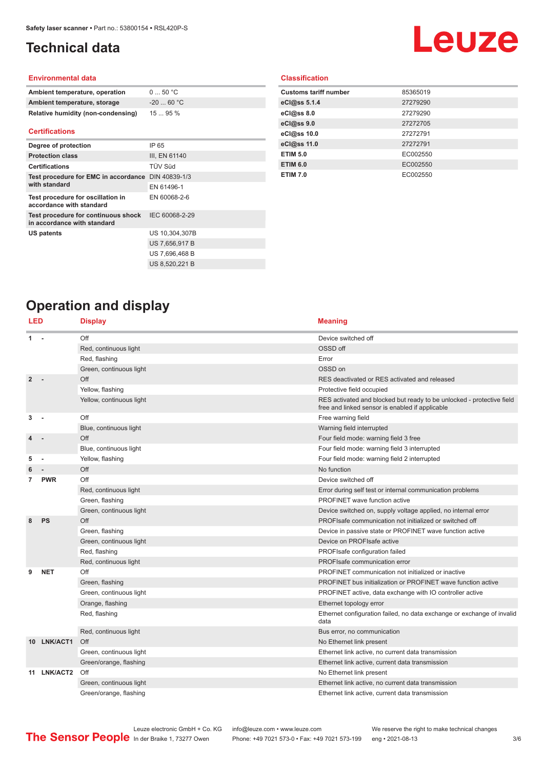# <span id="page-2-0"></span>**Technical data**

# Leuze

### **Environmental data**

| Ambient temperature, operation     | $0 \dots 50$ °C |
|------------------------------------|-----------------|
| Ambient temperature, storage       | $-2060 °C$      |
| Relative humidity (non-condensing) | 1595%           |

### **Certifications**

| Degree of protection                                               | IP 65          |
|--------------------------------------------------------------------|----------------|
| <b>Protection class</b>                                            | III, EN 61140  |
| <b>Certifications</b>                                              | TÜV Süd        |
| Test procedure for EMC in accordance DIN 40839-1/3                 |                |
| with standard                                                      | EN 61496-1     |
| Test procedure for oscillation in<br>accordance with standard      | EN 60068-2-6   |
| Test procedure for continuous shock<br>in accordance with standard | IEC 60068-2-29 |
| US patents                                                         | US 10,304,307B |
|                                                                    | US 7,656,917 B |
|                                                                    | US 7,696,468 B |
|                                                                    | US 8,520,221 B |

### **Classification**

| <b>Customs tariff number</b> | 85365019 |
|------------------------------|----------|
| eCl@ss 5.1.4                 | 27279290 |
| eCl@ss 8.0                   | 27279290 |
| eCl@ss 9.0                   | 27272705 |
| eCl@ss 10.0                  | 27272791 |
| eCl@ss 11.0                  | 27272791 |
| <b>ETIM 5.0</b>              | EC002550 |
| <b>ETIM 6.0</b>              | EC002550 |
| <b>ETIM 7.0</b>              | EC002550 |

# **Operation and display**

| LED            |             | <b>Display</b>           | <b>Meaning</b>                                                                                                           |
|----------------|-------------|--------------------------|--------------------------------------------------------------------------------------------------------------------------|
| 1              |             | Off                      | Device switched off                                                                                                      |
|                |             | Red, continuous light    | OSSD off                                                                                                                 |
|                |             | Red, flashing            | Error                                                                                                                    |
|                |             | Green, continuous light  | OSSD on                                                                                                                  |
| $\overline{2}$ |             | Off                      | RES deactivated or RES activated and released                                                                            |
|                |             | Yellow, flashing         | Protective field occupied                                                                                                |
|                |             | Yellow, continuous light | RES activated and blocked but ready to be unlocked - protective field<br>free and linked sensor is enabled if applicable |
| 3              |             | Off                      | Free warning field                                                                                                       |
|                |             | Blue, continuous light   | Warning field interrupted                                                                                                |
|                |             | Off                      | Four field mode: warning field 3 free                                                                                    |
|                |             | Blue, continuous light   | Four field mode: warning field 3 interrupted                                                                             |
| 5              |             | Yellow, flashing         | Four field mode: warning field 2 interrupted                                                                             |
|                |             | Off                      | No function                                                                                                              |
| 7              | <b>PWR</b>  | Off                      | Device switched off                                                                                                      |
|                |             | Red, continuous light    | Error during self test or internal communication problems                                                                |
|                |             | Green, flashing          | <b>PROFINET</b> wave function active                                                                                     |
|                |             | Green, continuous light  | Device switched on, supply voltage applied, no internal error                                                            |
| 8              | PS          | Off                      | PROFIsafe communication not initialized or switched off                                                                  |
|                |             | Green, flashing          | Device in passive state or PROFINET wave function active                                                                 |
|                |             | Green, continuous light  | Device on PROFIsafe active                                                                                               |
|                |             | Red, flashing            | PROFIsafe configuration failed                                                                                           |
|                |             | Red, continuous light    | PROFIsafe communication error                                                                                            |
| 9              | <b>NET</b>  | Off                      | PROFINET communication not initialized or inactive                                                                       |
|                |             | Green, flashing          | PROFINET bus initialization or PROFINET wave function active                                                             |
|                |             | Green, continuous light  | PROFINET active, data exchange with IO controller active                                                                 |
|                |             | Orange, flashing         | Ethernet topology error                                                                                                  |
|                |             | Red, flashing            | Ethernet configuration failed, no data exchange or exchange of invalid<br>data                                           |
|                |             | Red, continuous light    | Bus error, no communication                                                                                              |
|                | 10 LNK/ACT1 | Off                      | No Ethernet link present                                                                                                 |
|                |             | Green, continuous light  | Ethernet link active, no current data transmission                                                                       |
|                |             | Green/orange, flashing   | Ethernet link active, current data transmission                                                                          |
|                | 11 LNK/ACT2 | Off                      | No Ethernet link present                                                                                                 |
|                |             | Green, continuous light  | Ethernet link active, no current data transmission                                                                       |
|                |             | Green/orange, flashing   | Ethernet link active, current data transmission                                                                          |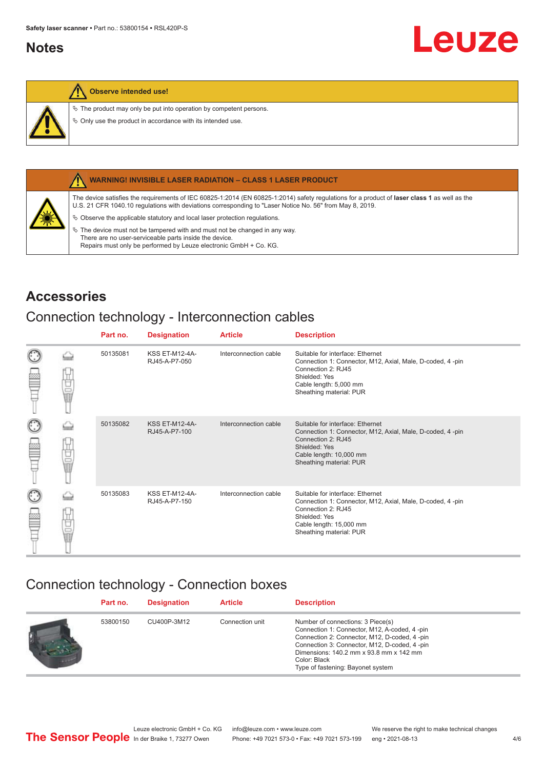## <span id="page-3-0"></span>**Notes**

### **Observe intended use!**

 $\&$  The product may only be put into operation by competent persons.

 $\%$  Only use the product in accordance with its intended use.



### **WARNING! INVISIBLE LASER RADIATION – CLASS 1 LASER PRODUCT**

The device satisfies the requirements of IEC 60825-1:2014 (EN 60825-1:2014) safety regulations for a product of **laser class 1** as well as the U.S. 21 CFR 1040.10 regulations with deviations corresponding to "Laser Notice No. 56" from May 8, 2019.

 $\&$  Observe the applicable statutory and local laser protection regulations.

 $\%$  The device must not be tampered with and must not be changed in any way. There are no user-serviceable parts inside the device. Repairs must only be performed by Leuze electronic GmbH + Co. KG.

## **Accessories**

## Connection technology - Interconnection cables

|                      |    | Part no. | <b>Designation</b>                     | <b>Article</b>        | <b>Description</b>                                                                                                                                                                         |
|----------------------|----|----------|----------------------------------------|-----------------------|--------------------------------------------------------------------------------------------------------------------------------------------------------------------------------------------|
| $_{\odot}$<br>œ      | Ī  | 50135081 | <b>KSS ET-M12-4A-</b><br>RJ45-A-P7-050 | Interconnection cable | Suitable for interface: Ethernet<br>Connection 1: Connector, M12, Axial, Male, D-coded, 4-pin<br>Connection 2: RJ45<br>Shielded: Yes<br>Cable length: 5,000 mm<br>Sheathing material: PUR  |
| $_{\bigodot}$<br>p   | 甘量 | 50135082 | <b>KSS ET-M12-4A-</b><br>RJ45-A-P7-100 | Interconnection cable | Suitable for interface: Ethernet<br>Connection 1: Connector, M12, Axial, Male, D-coded, 4-pin<br>Connection 2: RJ45<br>Shielded: Yes<br>Cable length: 10,000 mm<br>Sheathing material: PUR |
| $_{\mathbb{C}}$<br>œ | 甘晶 | 50135083 | <b>KSS ET-M12-4A-</b><br>RJ45-A-P7-150 | Interconnection cable | Suitable for interface: Ethernet<br>Connection 1: Connector, M12, Axial, Male, D-coded, 4-pin<br>Connection 2: RJ45<br>Shielded: Yes<br>Cable length: 15,000 mm<br>Sheathing material: PUR |

## Connection technology - Connection boxes

| Part no. | <b>Designation</b> | <b>Article</b>  | <b>Description</b>                                                                                                                                                                                                                                                                   |
|----------|--------------------|-----------------|--------------------------------------------------------------------------------------------------------------------------------------------------------------------------------------------------------------------------------------------------------------------------------------|
| 53800150 | CU400P-3M12        | Connection unit | Number of connections: 3 Piece(s)<br>Connection 1: Connector, M12, A-coded, 4 -pin<br>Connection 2: Connector, M12, D-coded, 4 -pin<br>Connection 3: Connector, M12, D-coded, 4 -pin<br>Dimensions: 140.2 mm x 93.8 mm x 142 mm<br>Color: Black<br>Type of fastening: Bayonet system |

Leuze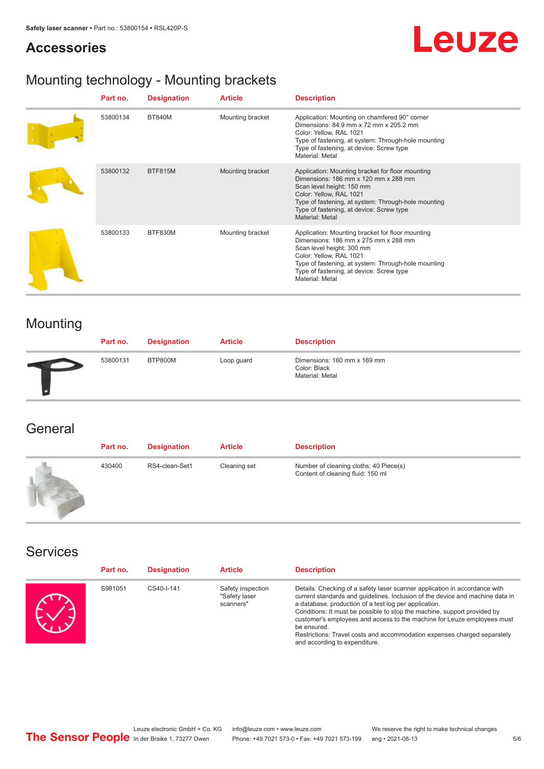### **Accessories**

# **Leuze**

# Mounting technology - Mounting brackets

| Part no. | <b>Designation</b> | <b>Article</b>   | <b>Description</b>                                                                                                                                                                                                                                                     |
|----------|--------------------|------------------|------------------------------------------------------------------------------------------------------------------------------------------------------------------------------------------------------------------------------------------------------------------------|
| 53800134 | <b>BT840M</b>      | Mounting bracket | Application: Mounting on chamfered 90° corner<br>Dimensions: 84.9 mm x 72 mm x 205.2 mm<br>Color: Yellow, RAL 1021<br>Type of fastening, at system: Through-hole mounting<br>Type of fastening, at device: Screw type<br>Material: Metal                               |
| 53800132 | BTF815M            | Mounting bracket | Application: Mounting bracket for floor mounting<br>Dimensions: 186 mm x 120 mm x 288 mm<br>Scan level height: 150 mm<br>Color: Yellow, RAL 1021<br>Type of fastening, at system: Through-hole mounting<br>Type of fastening, at device: Screw type<br>Material: Metal |
| 53800133 | BTF830M            | Mounting bracket | Application: Mounting bracket for floor mounting<br>Dimensions: 186 mm x 275 mm x 288 mm<br>Scan level height: 300 mm<br>Color: Yellow, RAL 1021<br>Type of fastening, at system: Through-hole mounting<br>Type of fastening, at device: Screw type<br>Material: Metal |

# Mounting

| Part no. | <b>Designation</b> | <b>Article</b> | <b>Description</b>                                             |
|----------|--------------------|----------------|----------------------------------------------------------------|
| 53800131 | BTP800M            | Loop guard     | Dimensions: 160 mm x 169 mm<br>Color: Black<br>Material: Metal |

### **General**

| Part no. | <b>Designation</b> | <b>Article</b> | <b>Description</b>                                                          |
|----------|--------------------|----------------|-----------------------------------------------------------------------------|
| 430400   | RS4-clean-Set1     | Cleaning set   | Number of cleaning cloths: 40 Piece(s)<br>Content of cleaning fluid: 150 ml |

### Services

| Part no. | <b>Designation</b> | <b>Article</b>                                  | <b>Description</b>                                                                                                                                                                                                                                                                                                                                                                                                                                                                                      |
|----------|--------------------|-------------------------------------------------|---------------------------------------------------------------------------------------------------------------------------------------------------------------------------------------------------------------------------------------------------------------------------------------------------------------------------------------------------------------------------------------------------------------------------------------------------------------------------------------------------------|
| S981051  | CS40-I-141         | Safety inspection<br>"Safety laser<br>scanners" | Details: Checking of a safety laser scanner application in accordance with<br>current standards and quidelines. Inclusion of the device and machine data in<br>a database, production of a test log per application.<br>Conditions: It must be possible to stop the machine, support provided by<br>customer's employees and access to the machine for Leuze employees must<br>be ensured.<br>Restrictions: Travel costs and accommodation expenses charged separately<br>and according to expenditure. |